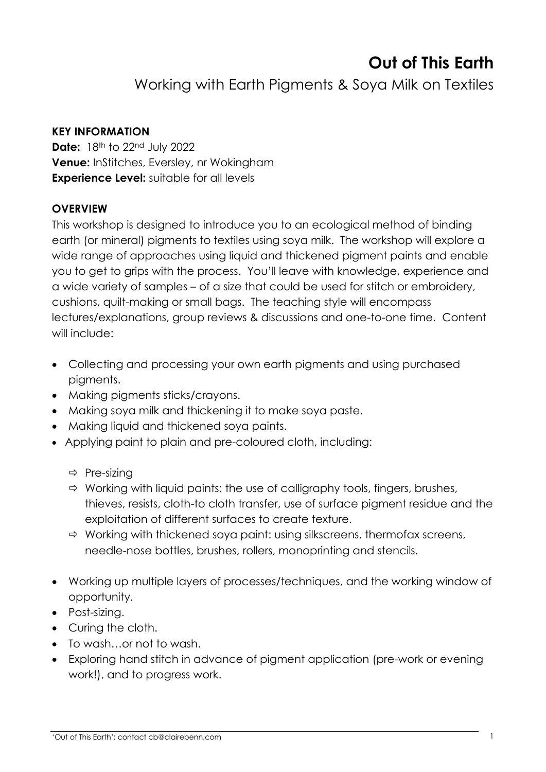# **Out of This Earth**

Working with Earth Pigments & Soya Milk on Textiles

#### **KEY INFORMATION**

**Date:** 18th to 22nd July 2022 **Venue:** InStitches, Eversley, nr Wokingham **Experience Level:** suitable for all levels

#### **OVERVIEW**

This workshop is designed to introduce you to an ecological method of binding earth (or mineral) pigments to textiles using soya milk. The workshop will explore a wide range of approaches using liquid and thickened pigment paints and enable you to get to grips with the process. You'll leave with knowledge, experience and a wide variety of samples – of a size that could be used for stitch or embroidery, cushions, quilt-making or small bags. The teaching style will encompass lectures/explanations, group reviews & discussions and one-to-one time.Content will include:

- Collecting and processing your own earth pigments and using purchased pigments.
- Making pigments sticks/crayons.
- Making soya milk and thickening it to make soya paste.
- Making liquid and thickened soya paints.
- Applying paint to plain and pre-coloured cloth, including:
	- $\Rightarrow$  Pre-sizing
	- $\Rightarrow$  Working with liquid paints: the use of calligraphy tools, fingers, brushes, thieves, resists, cloth-to cloth transfer, use of surface pigment residue and the exploitation of different surfaces to create texture.
	- $\Rightarrow$  Working with thickened soya paint: using silkscreens, thermofax screens, needle-nose bottles, brushes, rollers, monoprinting and stencils.
- Working up multiple layers of processes/techniques, and the working window of opportunity.
- Post-sizing.
- Curing the cloth.
- To wash…or not to wash.
- Exploring hand stitch in advance of pigment application (pre-work or evening work!), and to progress work.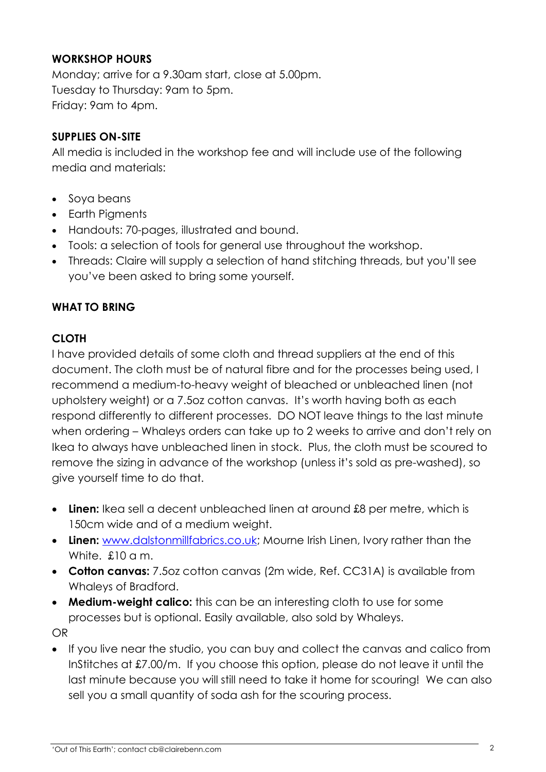### **WORKSHOP HOURS**

Monday; arrive for a 9.30am start, close at 5.00pm. Tuesday to Thursday: 9am to 5pm. Friday: 9am to 4pm.

#### **SUPPLIES ON-SITE**

All media is included in the workshop fee and will include use of the following media and materials:

- Soya beans
- Earth Pigments
- Handouts: 70-pages, illustrated and bound.
- Tools: a selection of tools for general use throughout the workshop.
- Threads: Claire will supply a selection of hand stitching threads, but you'll see you've been asked to bring some yourself.

#### **WHAT TO BRING**

#### **CLOTH**

I have provided details of some cloth and thread suppliers at the end of this document. The cloth must be of natural fibre and for the processes being used, I recommend a medium-to-heavy weight of bleached or unbleached linen (not upholstery weight) or a 7.5oz cotton canvas. It's worth having both as each respond differently to different processes. DO NOT leave things to the last minute when ordering – Whaleys orders can take up to 2 weeks to arrive and don't rely on Ikea to always have unbleached linen in stock. Plus, the cloth must be scoured to remove the sizing in advance of the workshop (unless it's sold as pre-washed), so give yourself time to do that.

- Linen: Ikea sell a decent unbleached linen at around £8 per metre, which is 150cm wide and of a medium weight.
- **Linen:** [www.dalstonmillfabrics.co.uk;](http://www.dalstonmillfabrics.co.uk/) Mourne Irish Linen, Ivory rather than the White. £10 a m.
- **Cotton canvas:** 7.5oz cotton canvas (2m wide, Ref. CC31A) is available from Whaleys of Bradford.
- **Medium-weight calico:** this can be an interesting cloth to use for some processes but is optional. Easily available, also sold by Whaleys.

OR

• If you live near the studio, you can buy and collect the canvas and calico from InStitches at £7.00/m. If you choose this option, please do not leave it until the last minute because you will still need to take it home for scouring! We can also sell you a small quantity of soda ash for the scouring process.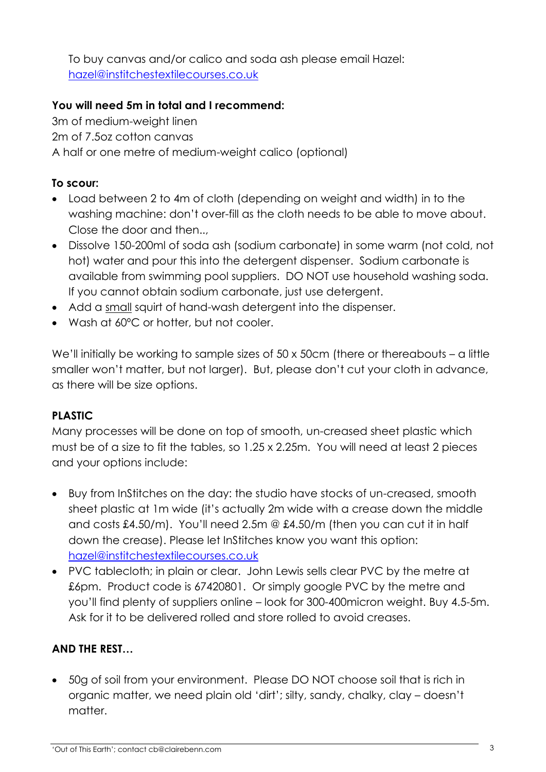To buy canvas and/or calico and soda ash please email Hazel: [hazel@institchestextilecourses.co.uk](mailto:hazel@institchestextilecourses.co.uk)

### **You will need 5m in total and I recommend:**

3m of medium-weight linen 2m of 7.5oz cotton canvas A half or one metre of medium-weight calico (optional)

## **To scour:**

- Load between 2 to 4m of cloth (depending on weight and width) in to the washing machine: don't over-fill as the cloth needs to be able to move about. Close the door and then..,
- Dissolve 150-200ml of soda ash (sodium carbonate) in some warm (not cold, not hot) water and pour this into the detergent dispenser. Sodium carbonate is available from swimming pool suppliers. DO NOT use household washing soda. If you cannot obtain sodium carbonate, just use detergent.
- Add a small squirt of hand-wash detergent into the dispenser.
- Wash at 60ºC or hotter, but not cooler.

We'll initially be working to sample sizes of 50 x 50cm (there or thereabouts – a little smaller won't matter, but not larger). But, please don't cut your cloth in advance, as there will be size options.

## **PLASTIC**

Many processes will be done on top of smooth, un-creased sheet plastic which must be of a size to fit the tables, so 1.25 x 2.25m. You will need at least 2 pieces and your options include:

- Buy from InStitches on the day: the studio have stocks of un-creased, smooth sheet plastic at 1m wide (it's actually 2m wide with a crease down the middle and costs £4.50/m). You'll need 2.5m @ £4.50/m (then you can cut it in half down the crease). Please let InStitches know you want this option: [hazel@institchestextilecourses.co.uk](mailto:hazel@institchestextilecourses.co.uk)
- PVC tablecloth; in plain or clear. John Lewis sells clear PVC by the metre at £6pm. Product code is 67420801. Or simply google PVC by the metre and you'll find plenty of suppliers online – look for 300-400micron weight. Buy 4.5-5m. Ask for it to be delivered rolled and store rolled to avoid creases.

#### **AND THE REST…**

• 50g of soil from your environment. Please DO NOT choose soil that is rich in organic matter, we need plain old 'dirt'; silty, sandy, chalky, clay – doesn't matter.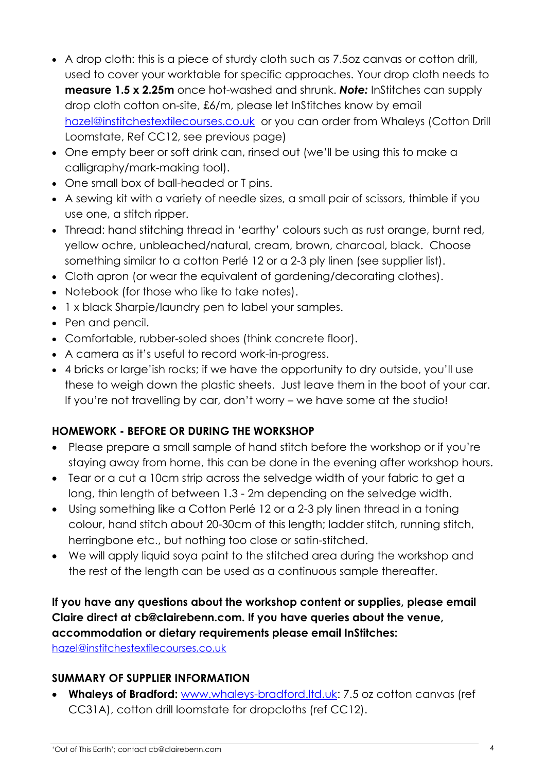- A drop cloth: this is a piece of sturdy cloth such as 7.5oz canvas or cotton drill, used to cover your worktable for specific approaches. Your drop cloth needs to **measure 1.5 x 2.25m** once hot-washed and shrunk. *Note:* InStitches can supply drop cloth cotton on-site, £6/m, please let InStitches know by email [hazel@institchestextilecourses.co.uk](mailto:hazel@institchestextilecourses.co.uk) or you can order from Whaleys (Cotton Drill Loomstate, Ref CC12, see previous page)
- One empty beer or soft drink can, rinsed out (we'll be using this to make a calligraphy/mark-making tool).
- One small box of ball-headed or T pins.
- A sewing kit with a variety of needle sizes, a small pair of scissors, thimble if you use one, a stitch ripper.
- Thread: hand stitching thread in 'earthy' colours such as rust orange, burnt red, yellow ochre, unbleached/natural, cream, brown, charcoal, black. Choose something similar to a cotton Perlé 12 or a 2-3 ply linen (see supplier list).
- Cloth apron (or wear the equivalent of gardening/decorating clothes).
- Notebook (for those who like to take notes).
- 1 x black Sharpie/laundry pen to label your samples.
- Pen and pencil.
- Comfortable, rubber-soled shoes (think concrete floor).
- A camera as it's useful to record work-in-progress.
- 4 bricks or large'ish rocks; if we have the opportunity to dry outside, you'll use these to weigh down the plastic sheets. Just leave them in the boot of your car. If you're not travelling by car, don't worry – we have some at the studio!

# **HOMEWORK - BEFORE OR DURING THE WORKSHOP**

- Please prepare a small sample of hand stitch before the workshop or if you're staying away from home, this can be done in the evening after workshop hours.
- Tear or a cut a 10cm strip across the selvedge width of your fabric to get a long, thin length of between 1.3 - 2m depending on the selvedge width.
- Using something like a Cotton Perlé 12 or a 2-3 ply linen thread in a toning colour, hand stitch about 20-30cm of this length; ladder stitch, running stitch, herringbone etc., but nothing too close or satin-stitched.
- We will apply liquid soya paint to the stitched area during the workshop and the rest of the length can be used as a continuous sample thereafter.

# **If you have any questions about the workshop content or supplies, please email Claire direct at cb@clairebenn.com. If you have queries about the venue, accommodation or dietary requirements please email InStitches:**

[hazel@institchestextilecourses.co.uk](mailto:hazel@institchestextilecourses.co.uk) 

## **SUMMARY OF SUPPLIER INFORMATION**

• **Whaleys of Bradford:** [www.whaleys-bradford.ltd.uk:](http://www.whaleys-bradford.ltd.uk/) 7.5 oz cotton canvas (ref CC31A), cotton drill loomstate for dropcloths (ref CC12).